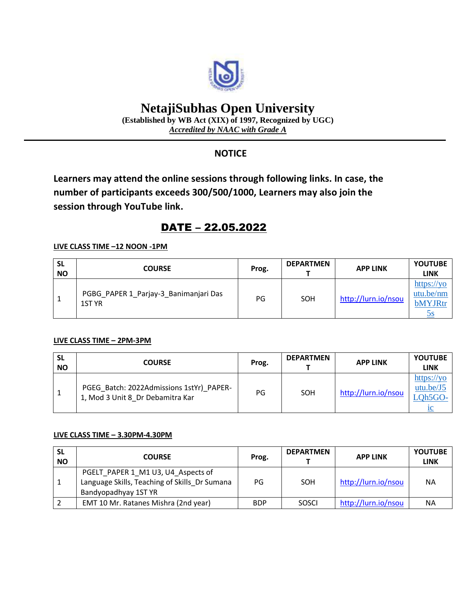

# **NetajiSubhas Open University**

**(Established by WB Act (XIX) of 1997, Recognized by UGC)** *Accredited by NAAC with Grade A*

# **NOTICE**

**Learners may attend the online sessions through following links. In case, the number of participants exceeds 300/500/1000, Learners may also join the session through YouTube link.**

# DATE – 22.05.2022

## **LIVE CLASS TIME –12 NOON -1PM**

| <b>SL</b><br><b>NO</b> | <b>COURSE</b>                                   | Prog. | <b>DEPARTMEN</b> | <b>APP LINK</b>     | <b>YOUTUBE</b><br>LINK                            |
|------------------------|-------------------------------------------------|-------|------------------|---------------------|---------------------------------------------------|
|                        | PGBG PAPER 1_Parjay-3_Banimanjari Das<br>1ST YR | PG    | SOH              | http://lurn.io/nsou | $\frac{https://yo}{?}$<br>$utu.$ be/nm<br>bMYJRtr |

### **LIVE CLASS TIME – 2PM-3PM**

| <b>SL</b><br><b>NO</b> | <b>COURSE</b>                                                                | Prog. | <b>DEPARTMEN</b> | <b>APP LINK</b>     | <b>YOUTUBE</b><br>LINK                                                   |
|------------------------|------------------------------------------------------------------------------|-------|------------------|---------------------|--------------------------------------------------------------------------|
| 1                      | PGEG Batch: 2022Admissions 1stYr) PAPER-<br>1, Mod 3 Unit 8 Dr Debamitra Kar | PG    | SOH              | http://lurn.io/nsou | https://yo<br>utu.be/J5<br>$\sqrt{\frac{1}{2}}$ Qh5GO-<br>1 <sup>C</sup> |

### **LIVE CLASS TIME – 3.30PM-4.30PM**

| <b>SL</b><br><b>NO</b> | <b>COURSE</b>                                                                                               | Prog.      | <b>DEPARTMEN</b> | <b>APP LINK</b>     | <b>YOUTUBE</b><br><b>LINK</b> |
|------------------------|-------------------------------------------------------------------------------------------------------------|------------|------------------|---------------------|-------------------------------|
|                        | PGELT PAPER 1 M1 U3, U4 Aspects of<br>Language Skills, Teaching of Skills Dr Sumana<br>Bandyopadhyay 1ST YR | PG         | SOH              | http://lurn.io/nsou | <b>NA</b>                     |
|                        | EMT 10 Mr. Ratanes Mishra (2nd year)                                                                        | <b>BDP</b> | SOSCI            | http://lurn.io/nsou | <b>NA</b>                     |